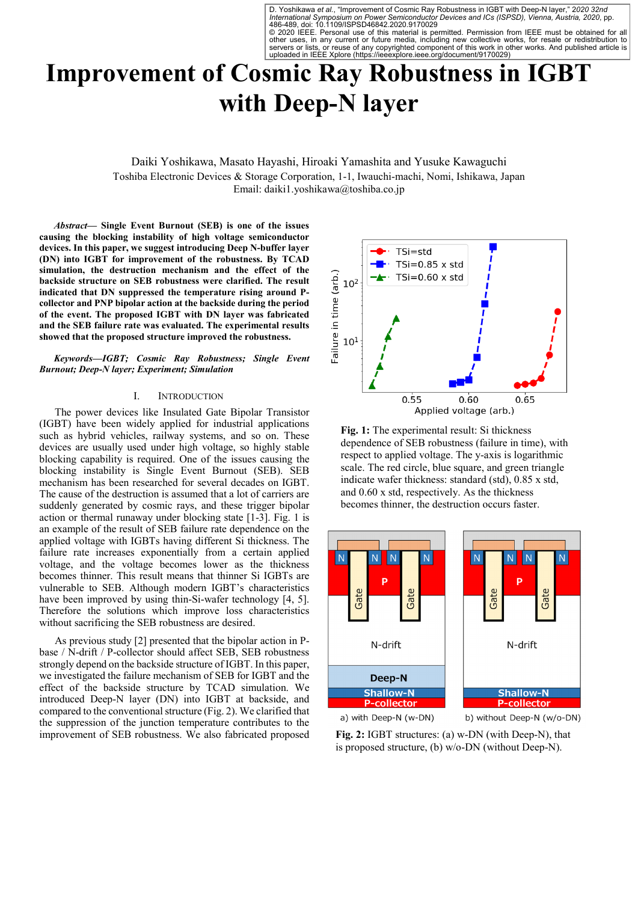D. Yoshikawa et al., "Improvement of Cosmic Ray Robustness in IGBT with Deep-N layer," 2020 32nd<br>International Symposium on Power Semiconductor Devices and ICs (ISPSD), Vienna, Austria, 2020, pp.<br>486-489, doi: 10.1109/ISPS

© 2020 IEEE. Personal use of this material is permitted. Permission from IEEE must be obtained for all<br>other uses, in any current or future media, including new collective works, for resale or redistribution to<br>servers or uploaded in IEEE Xplore (https://ieeexplore.ieee.org/document/9170029)

# **Improvement of Cosmic Ray Robustness in IGBT with Deep-N layer**

Daiki Yoshikawa, Masato Hayashi, Hiroaki Yamashita and Yusuke Kawaguchi Toshiba Electronic Devices & Storage Corporation, 1-1, Iwauchi-machi, Nomi, Ishikawa, Japan Email: daiki1.yoshikawa@toshiba.co.jp

*Abstract***— Single Event Burnout (SEB) is one of the issues causing the blocking instability of high voltage semiconductor devices. In this paper, we suggest introducing Deep N-buffer layer (DN) into IGBT for improvement of the robustness. By TCAD simulation, the destruction mechanism and the effect of the backside structure on SEB robustness were clarified. The result indicated that DN suppressed the temperature rising around Pcollector and PNP bipolar action at the backside during the period of the event. The proposed IGBT with DN layer was fabricated and the SEB failure rate was evaluated. The experimental results showed that the proposed structure improved the robustness.** 

*Keywords—IGBT; Cosmic Ray Robustness; Single Event Burnout; Deep-N layer; Experiment; Simulation* 

### I. INTRODUCTION

The power devices like Insulated Gate Bipolar Transistor (IGBT) have been widely applied for industrial applications such as hybrid vehicles, railway systems, and so on. These devices are usually used under high voltage, so highly stable blocking capability is required. One of the issues causing the blocking instability is Single Event Burnout (SEB). SEB mechanism has been researched for several decades on IGBT. The cause of the destruction is assumed that a lot of carriers are suddenly generated by cosmic rays, and these trigger bipolar action or thermal runaway under blocking state [1-3]. Fig. 1 is an example of the result of SEB failure rate dependence on the applied voltage with IGBTs having different Si thickness. The failure rate increases exponentially from a certain applied voltage, and the voltage becomes lower as the thickness becomes thinner. This result means that thinner Si IGBTs are vulnerable to SEB. Although modern IGBT's characteristics have been improved by using thin-Si-wafer technology [4, 5]. Therefore the solutions which improve loss characteristics without sacrificing the SEB robustness are desired.

As previous study [2] presented that the bipolar action in Pbase / N-drift / P-collector should affect SEB, SEB robustness strongly depend on the backside structure of IGBT. In this paper, we investigated the failure mechanism of SEB for IGBT and the effect of the backside structure by TCAD simulation. We introduced Deep-N layer (DN) into IGBT at backside, and compared to the conventional structure (Fig. 2). We clarified that the suppression of the junction temperature contributes to the improvement of SEB robustness. We also fabricated proposed



**Fig. 1:** The experimental result: Si thickness dependence of SEB robustness (failure in time), with respect to applied voltage. The y-axis is logarithmic scale. The red circle, blue square, and green triangle indicate wafer thickness: standard (std), 0.85 x std, and 0.60 x std, respectively. As the thickness becomes thinner, the destruction occurs faster.



**Fig. 2:** IGBT structures: (a) w-DN (with Deep-N), that is proposed structure, (b) w/o-DN (without Deep-N).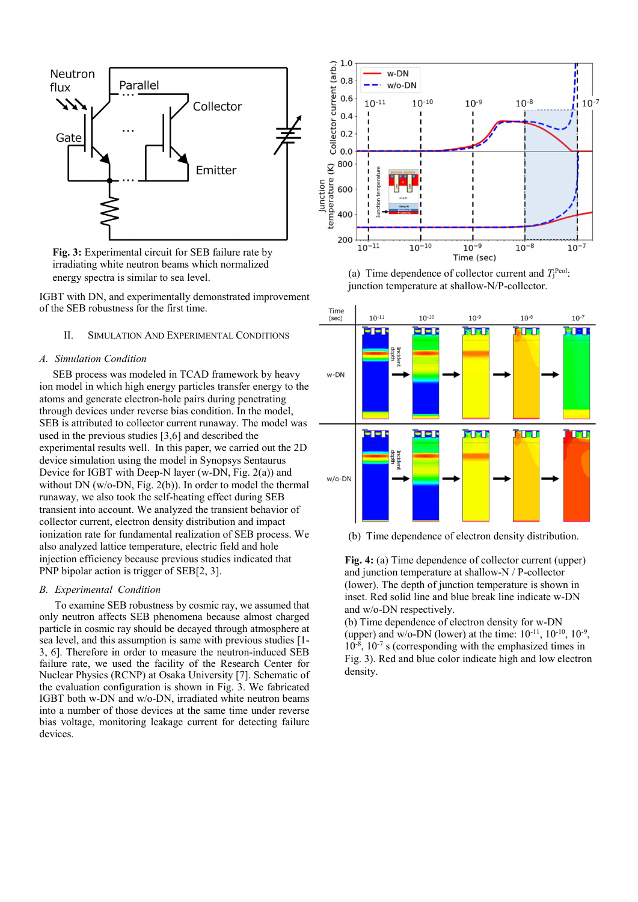

**Fig. 3:** Experimental circuit for SEB failure rate by irradiating white neutron beams which normalized energy spectra is similar to sea level.

IGBT with DN, and experimentally demonstrated improvement of the SEB robustness for the first time.

# II. SIMULATION AND EXPERIMENTAL CONDITIONS

# *A. Simulation Condition*

 SEB process was modeled in TCAD framework by heavy ion model in which high energy particles transfer energy to the atoms and generate electron-hole pairs during penetrating through devices under reverse bias condition. In the model, SEB is attributed to collector current runaway. The model was used in the previous studies [3,6] and described the experimental results well. In this paper, we carried out the 2D device simulation using the model in Synopsys Sentaurus Device for IGBT with Deep-N layer (w-DN, Fig. 2(a)) and without DN (w/o-DN, Fig. 2(b)). In order to model the thermal runaway, we also took the self-heating effect during SEB transient into account. We analyzed the transient behavior of collector current, electron density distribution and impact ionization rate for fundamental realization of SEB process. We also analyzed lattice temperature, electric field and hole injection efficiency because previous studies indicated that PNP bipolar action is trigger of SEB[2, 3].

# *B. Experimental Condition*

To examine SEB robustness by cosmic ray, we assumed that only neutron affects SEB phenomena because almost charged particle in cosmic ray should be decayed through atmosphere at sea level, and this assumption is same with previous studies [1- 3, 6]. Therefore in order to measure the neutron-induced SEB failure rate, we used the facility of the Research Center for Nuclear Physics (RCNP) at Osaka University [7]. Schematic of the evaluation configuration is shown in Fig. 3. We fabricated IGBT both w-DN and w/o-DN, irradiated white neutron beams into a number of those devices at the same time under reverse bias voltage, monitoring leakage current for detecting failure devices.



(a) Time dependence of collector current and  $T_j^{\text{Pcol}}$ : junction temperature at shallow-N/P-collector.



(b) Time dependence of electron density distribution.

**Fig. 4:** (a) Time dependence of collector current (upper) and junction temperature at shallow-N / P-collector (lower). The depth of junction temperature is shown in inset. Red solid line and blue break line indicate w-DN and w/o-DN respectively.

(b) Time dependence of electron density for w-DN (upper) and w/o-DN (lower) at the time:  $10^{-11}$ ,  $10^{-10}$ ,  $10^{-9}$ ,  $10^{-8}$ ,  $10^{-7}$  s (corresponding with the emphasized times in Fig. 3). Red and blue color indicate high and low electron density.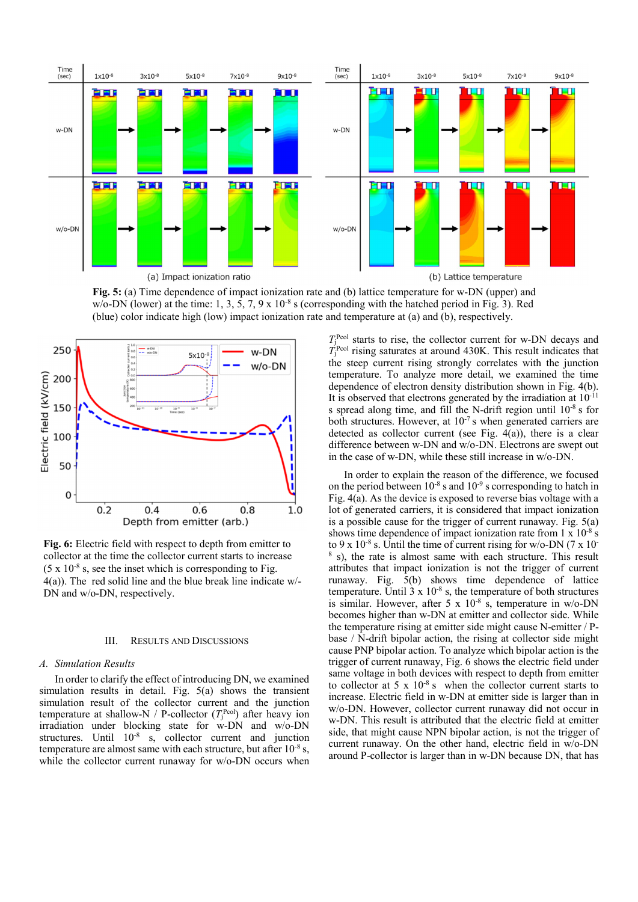

**Fig. 5:** (a) Time dependence of impact ionization rate and (b) lattice temperature for w-DN (upper) and w/o-DN (lower) at the time:  $1, 3, 5, 7, 9 \times 10^{-8}$  s (corresponding with the hatched period in Fig. 3). Red (blue) color indicate high (low) impact ionization rate and temperature at (a) and (b), respectively.



**Fig. 6:** Electric field with respect to depth from emitter to collector at the time the collector current starts to increase  $(5 \times 10^{-8} \text{ s}, \text{ see the inset which is corresponding to Fig.}$ 4(a)). The red solid line and the blue break line indicate w/- DN and w/o-DN, respectively.

### III. RESULTS AND DISCUSSIONS

### *A. Simulation Results*

In order to clarify the effect of introducing DN, we examined simulation results in detail. Fig. 5(a) shows the transient simulation result of the collector current and the junction temperature at shallow-N / P-collector  $(T_j^{\text{Pcol}})$  after heavy ion irradiation under blocking state for w-DN and w/o-DN structures. Until  $10^{-8}$  s, collector current and junction temperature are almost same with each structure, but after  $10^{-8}$  s, while the collector current runaway for w/o-DN occurs when

 $T_1^{\text{Pcol}}$  starts to rise, the collector current for w-DN decays and  $T_{\rm j}^{\rm Pcol}$  rising saturates at around 430K. This result indicates that the steep current rising strongly correlates with the junction temperature. To analyze more detail, we examined the time dependence of electron density distribution shown in Fig. 4(b). It is observed that electrons generated by the irradiation at  $10^{-11}$ s spread along time, and fill the N-drift region until 10-8 s for both structures. However, at  $10^{-7}$  s when generated carriers are detected as collector current (see Fig. 4(a)), there is a clear difference between w-DN and w/o-DN. Electrons are swept out in the case of w-DN, while these still increase in w/o-DN.

In order to explain the reason of the difference, we focused on the period between  $10^{-8}$  s and  $10^{-9}$  s corresponding to hatch in Fig. 4(a). As the device is exposed to reverse bias voltage with a lot of generated carriers, it is considered that impact ionization is a possible cause for the trigger of current runaway. Fig. 5(a) shows time dependence of impact ionization rate from 1 x 10<sup>-8</sup> s to 9 x  $10^{-8}$  s. Until the time of current rising for w/o-DN (7 x 10-8 s), the rate is almost same with each structure. This result attributes that impact ionization is not the trigger of current runaway. Fig. 5(b) shows time dependence of lattice temperature. Until  $3 \times 10^{-8}$  s, the temperature of both structures is similar. However, after 5 x  $10^{-8}$  s, temperature in w/o-DN becomes higher than w-DN at emitter and collector side. While the temperature rising at emitter side might cause N-emitter / Pbase / N-drift bipolar action, the rising at collector side might cause PNP bipolar action. To analyze which bipolar action is the trigger of current runaway, Fig. 6 shows the electric field under same voltage in both devices with respect to depth from emitter to collector at  $5 \times 10^{-8}$  s when the collector current starts to increase. Electric field in w-DN at emitter side is larger than in w/o-DN. However, collector current runaway did not occur in w-DN. This result is attributed that the electric field at emitter side, that might cause NPN bipolar action, is not the trigger of current runaway. On the other hand, electric field in w/o-DN around P-collector is larger than in w-DN because DN, that has